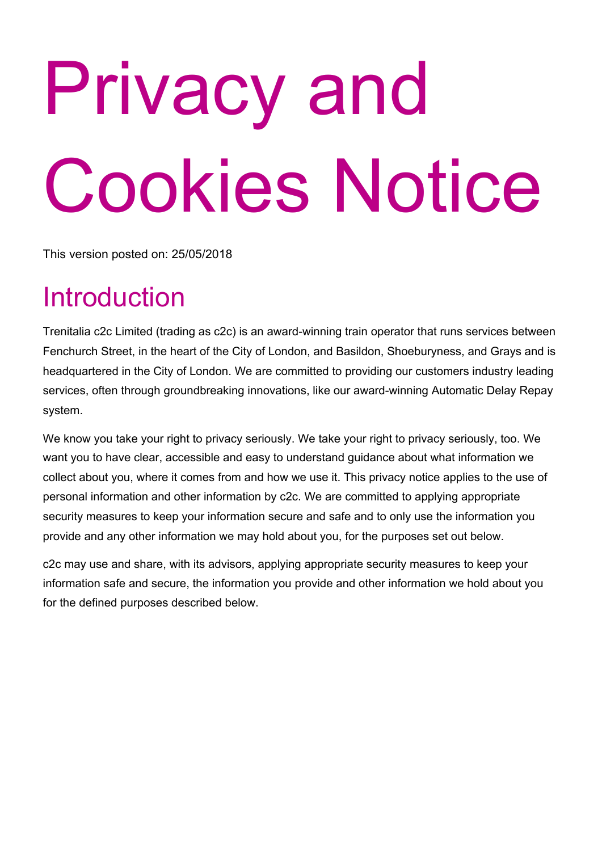# Privacy and Cookies Notice

This version posted on: 25/05/2018

# Introduction

Trenitalia c2c Limited (trading as c2c) is an award-winning train operator that runs services between Fenchurch Street, in the heart of the City of London, and Basildon, Shoeburyness, and Grays and is headquartered in the City of London. We are committed to providing our customers industry leading services, often through groundbreaking innovations, like our award-winning Automatic Delay Repay system.

We know you take your right to privacy seriously. We take your right to privacy seriously, too. We want you to have clear, accessible and easy to understand guidance about what information we collect about you, where it comes from and how we use it. This privacy notice applies to the use of personal information and other information by c2c. We are committed to applying appropriate security measures to keep your information secure and safe and to only use the information you provide and any other information we may hold about you, for the purposes set out below.

c2c may use and share, with its advisors, applying appropriate security measures to keep your information safe and secure, the information you provide and other information we hold about you for the defined purposes described below.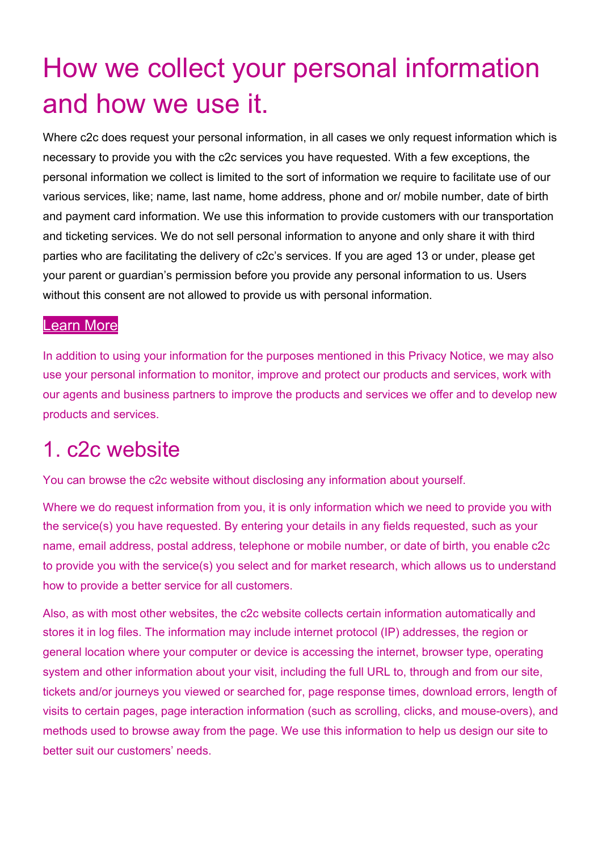# How we collect your personal information and how we use it.

Where c2c does request your personal information, in all cases we only request information which is necessary to provide you with the c2c services you have requested. With a few exceptions, the personal information we collect is limited to the sort of information we require to facilitate use of our various services, like; name, last name, home address, phone and or/ mobile number, date of birth and payment card information. We use this information to provide customers with our transportation and ticketing services. We do not sell personal information to anyone and only share it with third parties who are facilitating the delivery of c2c's services. If you are aged 13 or under, please get your parent or guardian's permission before you provide any personal information to us. Users without this consent are not allowed to provide us with personal information.

#### [Learn](https://www.c2c-online.co.uk/privacy-and-cookies-notice/#more) More

In addition to using your information for the purposes mentioned in this Privacy Notice, we may also use your personal information to monitor, improve and protect our products and services, work with our agents and business partners to improve the products and services we offer and to develop new products and services.

### 1. c2c website

You can browse the c2c website without disclosing any information about yourself.

Where we do request information from you, it is only information which we need to provide you with the service(s) you have requested. By entering your details in any fields requested, such as your name, email address, postal address, telephone or mobile number, or date of birth, you enable c2c to provide you with the service(s) you select and for market research, which allows us to understand how to provide a better service for all customers.

Also, as with most other websites, the c2c website collects certain information automatically and stores it in log files. The information may include internet protocol (IP) addresses, the region or general location where your computer or device is accessing the internet, browser type, operating system and other information about your visit, including the full URL to, through and from our site, tickets and/or journeys you viewed or searched for, page response times, download errors, length of visits to certain pages, page interaction information (such as scrolling, clicks, and mouse-overs), and methods used to browse away from the page. We use this information to help us design our site to better suit our customers' needs.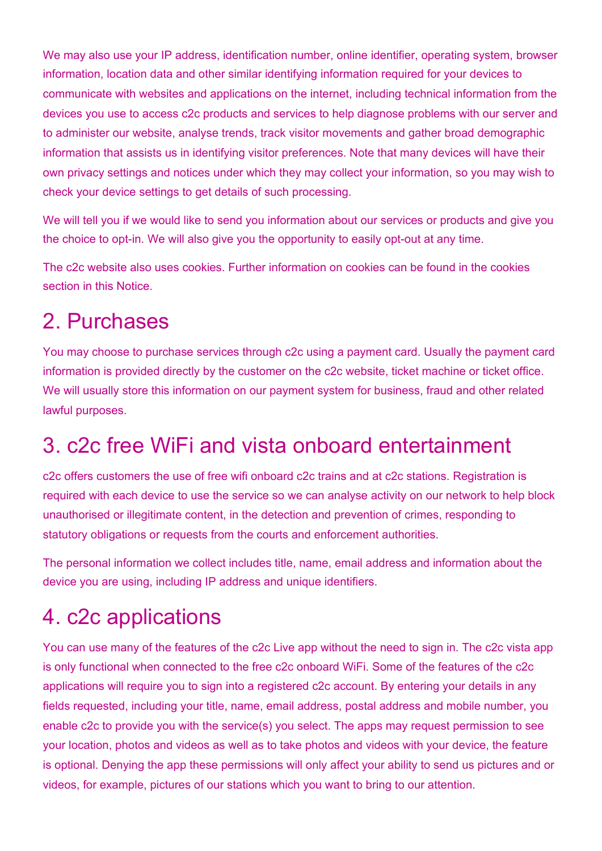We may also use your IP address, identification number, online identifier, operating system, browser information, location data and other similar identifying information required for your devices to communicate with websites and applications on the internet, including technical information from the devices you use to access c2c products and services to help diagnose problems with our server and to administer our website, analyse trends, track visitor movements and gather broad demographic information that assists us in identifying visitor preferences. Note that many devices will have their own privacy settings and notices under which they may collect your information, so you may wish to check your device settings to get details of such processing.

We will tell you if we would like to send you information about our services or products and give you the choice to opt-in. We will also give you the opportunity to easily opt-out at any time.

The c2c website also uses cookies. Further information on cookies can be found in the cookies section in this Notice.

### 2. Purchases

You may choose to purchase services through c2c using a payment card. Usually the payment card information is provided directly by the customer on the c2c website, ticket machine or ticket office. We will usually store this information on our payment system for business, fraud and other related lawful purposes.

### 3. c2c free WiFi and vista onboard entertainment

c2c offers customers the use of free wifi onboard c2c trains and at c2c stations. Registration is required with each device to use the service so we can analyse activity on our network to help block unauthorised or illegitimate content, in the detection and prevention of crimes, responding to statutory obligations or requests from the courts and enforcement authorities.

The personal information we collect includes title, name, email address and information about the device you are using, including IP address and unique identifiers.

### 4. c2c applications

You can use many of the features of the c2c Live app without the need to sign in. The c2c vista app is only functional when connected to the free c2c onboard WiFi. Some of the features of the c2c applications will require you to sign into a registered c2c account. By entering your details in any fields requested, including your title, name, email address, postal address and mobile number, you enable c2c to provide you with the service(s) you select. The apps may request permission to see your location, photos and videos as well as to take photos and videos with your device, the feature is optional. Denying the app these permissions will only affect your ability to send us pictures and or videos, for example, pictures of our stations which you want to bring to our attention.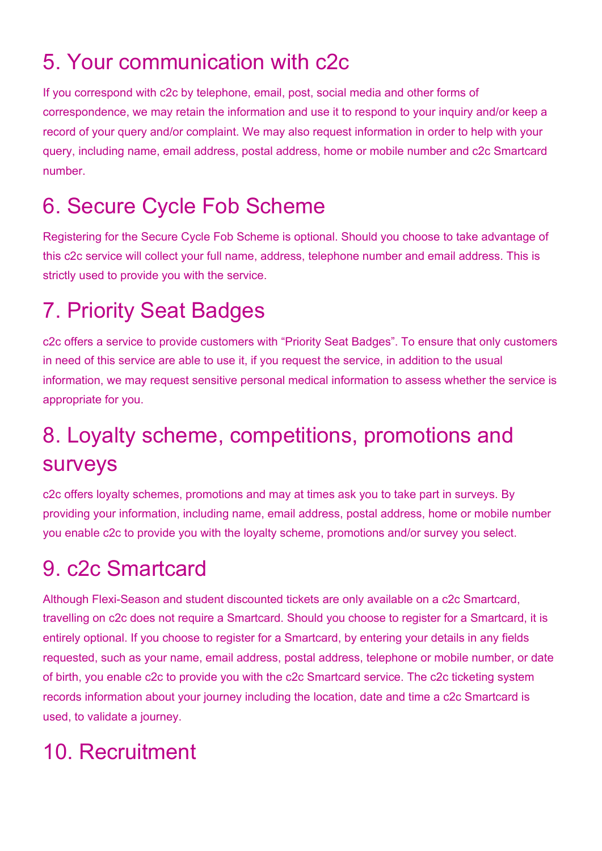# 5. Your communication with c2c

If you correspond with c2c by telephone, email, post, social media and other forms of correspondence, we may retain the information and use it to respond to your inquiry and/or keep a record of your query and/or complaint. We may also request information in order to help with your query, including name, email address, postal address, home or mobile number and c2c Smartcard number.

# 6. Secure Cycle Fob Scheme

Registering for the Secure Cycle Fob Scheme is optional. Should you choose to take advantage of this c2c service will collect your full name, address, telephone number and email address. This is strictly used to provide you with the service.

# 7. Priority Seat Badges

c2c offers a service to provide customers with "Priority Seat Badges". To ensure that only customers in need of this service are able to use it, if you request the service, in addition to the usual information, we may request sensitive personal medical information to assess whether the service is appropriate for you.

# 8. Loyalty scheme, competitions, promotions and surveys

c2c offers loyalty schemes, promotions and may at times ask you to take part in surveys. By providing your information, including name, email address, postal address, home or mobile number you enable c2c to provide you with the loyalty scheme, promotions and/or survey you select.

# 9. c2c Smartcard

Although Flexi-Season and student discounted tickets are only available on a c2c Smartcard, travelling on c2c does not require a Smartcard. Should you choose to register for a Smartcard, it is entirely optional. If you choose to register for a Smartcard, by entering your details in any fields requested, such as your name, email address, postal address, telephone or mobile number, or date of birth, you enable c2c to provide you with the c2c Smartcard service. The c2c ticketing system records information about your journey including the location, date and time a c2c Smartcard is used, to validate a journey.

# 10. Recruitment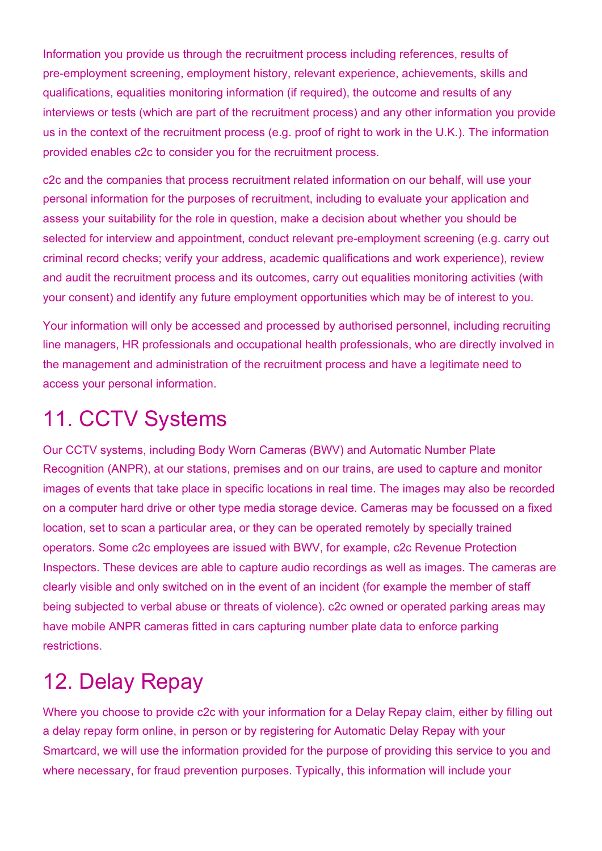Information you provide us through the recruitment process including references, results of pre-employment screening, employment history, relevant experience, achievements, skills and qualifications, equalities monitoring information (if required), the outcome and results of any interviews or tests (which are part of the recruitment process) and any other information you provide us in the context of the recruitment process (e.g. proof of right to work in the U.K.). The information provided enables c2c to consider you for the recruitment process.

c2c and the companies that process recruitment related information on our behalf, will use your personal information for the purposes of recruitment, including to evaluate your application and assess your suitability for the role in question, make a decision about whether you should be selected for interview and appointment, conduct relevant pre-employment screening (e.g. carry out criminal record checks; verify your address, academic qualifications and work experience), review and audit the recruitment process and its outcomes, carry out equalities monitoring activities (with your consent) and identify any future employment opportunities which may be of interest to you.

Your information will only be accessed and processed by authorised personnel, including recruiting line managers, HR professionals and occupational health professionals, who are directly involved in the management and administration of the recruitment process and have a legitimate need to access your personal information.

# 11. CCTV Systems

Our CCTV systems, including Body Worn Cameras (BWV) and Automatic Number Plate Recognition (ANPR), at our stations, premises and on our trains, are used to capture and monitor images of events that take place in specific locations in real time. The images may also be recorded on a computer hard drive or other type media storage device. Cameras may be focussed on a fixed location, set to scan a particular area, or they can be operated remotely by specially trained operators. Some c2c employees are issued with BWV, for example, c2c Revenue Protection Inspectors. These devices are able to capture audio recordings as well as images. The cameras are clearly visible and only switched on in the event of an incident (for example the member of staff being subjected to verbal abuse or threats of violence). c2c owned or operated parking areas may have mobile ANPR cameras fitted in cars capturing number plate data to enforce parking restrictions.

### 12. Delay Repay

Where you choose to provide c2c with your information for a Delay Repay claim, either by filling out a delay repay form online, in person or by registering for Automatic Delay Repay with your Smartcard, we will use the information provided for the purpose of providing this service to you and where necessary, for fraud prevention purposes. Typically, this information will include your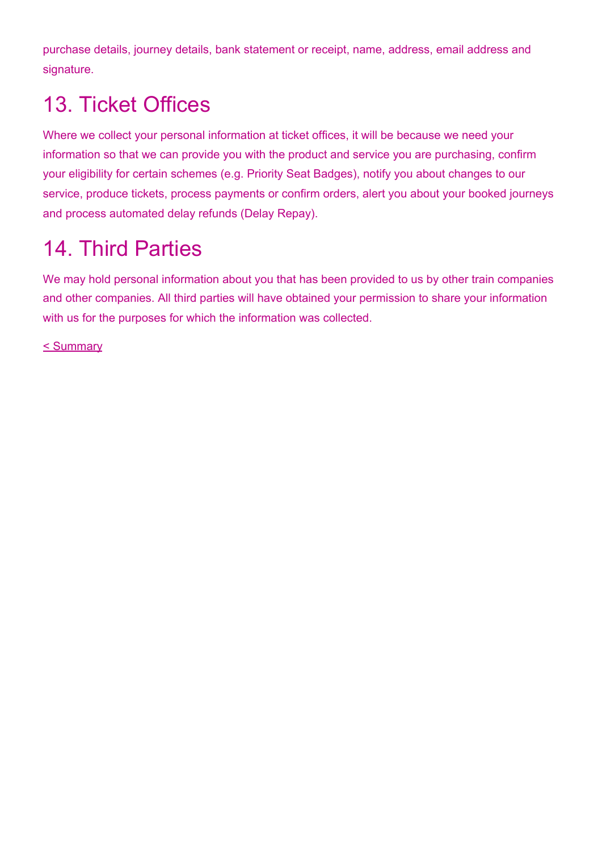purchase details, journey details, bank statement or receipt, name, address, email address and signature.

# 13. Ticket Offices

Where we collect your personal information at ticket offices, it will be because we need your information so that we can provide you with the product and service you are purchasing, confirm your eligibility for certain schemes (e.g. Priority Seat Badges), notify you about changes to our service, produce tickets, process payments or confirm orders, alert you about your booked journeys and process automated delay refunds (Delay Repay).

### 14. Third Parties

We may hold personal information about you that has been provided to us by other train companies and other companies. All third parties will have obtained your permission to share your information with us for the purposes for which the information was collected.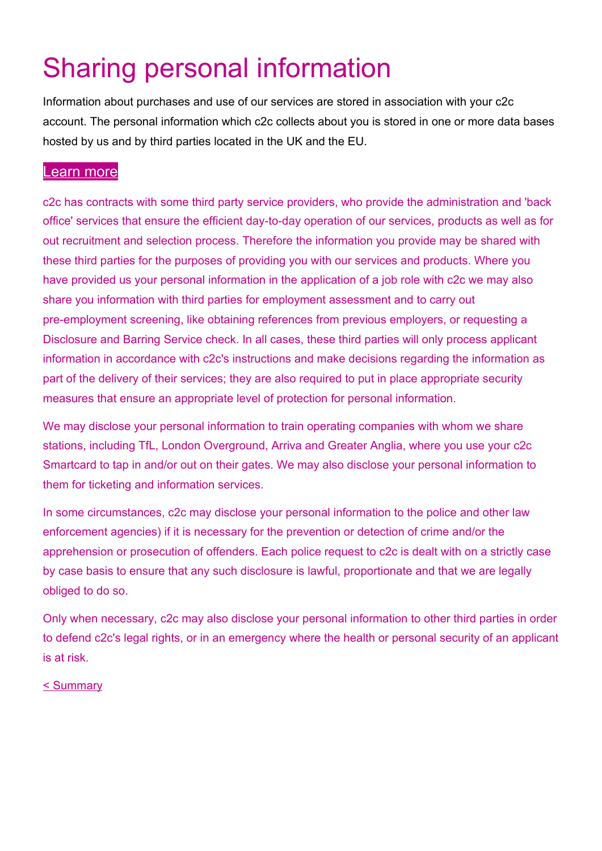# Sharing personal information

Information about purchases and use of our services are stored in association with your c2c account. The personal information which c2c collects about you is stored in one or more data bases hosted by us and by third parties located in the UK and the EU.

#### [Learn](https://www.c2c-online.co.uk/privacy-and-cookies-notice/#more) more

c2c has contracts with some third party service providers, who provide the administration and 'back office' services that ensure the efficient day-to-day operation of our services, products as well as for out recruitment and selection process. Therefore the information you provide may be shared with these third parties for the purposes of providing you with our services and products. Where you have provided us your personal information in the application of a job role with c2c we may also share you information with third parties for employment assessment and to carry out pre-employment screening, like obtaining references from previous employers, or requesting a Disclosure and Barring Service check. In all cases, these third parties will only process applicant information in accordance with c2c's instructions and make decisions regarding the information as part of the delivery of their services; they are also required to put in place appropriate security measures that ensure an appropriate level of protection for personal information.

We may disclose your personal information to train operating companies with whom we share stations, including TfL, London Overground, Arriva and Greater Anglia, where you use your c2c Smartcard to tap in and/or out on their gates. We may also disclose your personal information to them for ticketing and information services.

In some circumstances, c2c may disclose your personal information to the police and other law enforcement agencies) if it is necessary for the prevention or detection of crime and/or the apprehension or prosecution of offenders. Each police request to c2c is dealt with on a strictly case by case basis to ensure that any such disclosure is lawful, proportionate and that we are legally obliged to do so.

Only when necessary, c2c may also disclose your personal information to other third parties in order to defend c2c's legal rights, or in an emergency where the health or personal security of an applicant is at risk.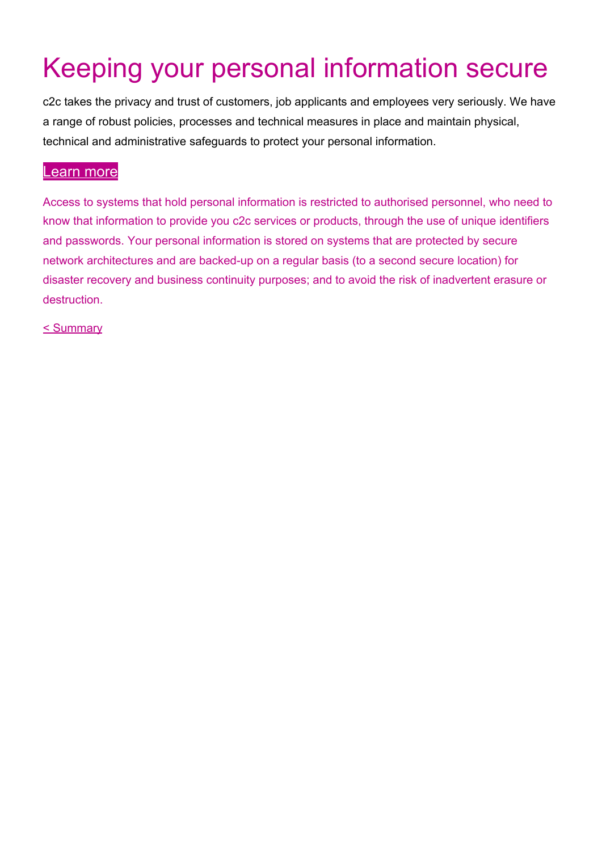# Keeping your personal information secure

c2c takes the privacy and trust of customers, job applicants and employees very seriously. We have a range of robust policies, processes and technical measures in place and maintain physical, technical and administrative safeguards to protect your personal information.

#### [Learn](https://www.c2c-online.co.uk/privacy-and-cookies-notice/#more) more

Access to systems that hold personal information is restricted to authorised personnel, who need to know that information to provide you c2c services or products, through the use of unique identifiers and passwords. Your personal information is stored on systems that are protected by secure network architectures and are backed-up on a regular basis (to a second secure location) for disaster recovery and business continuity purposes; and to avoid the risk of inadvertent erasure or destruction.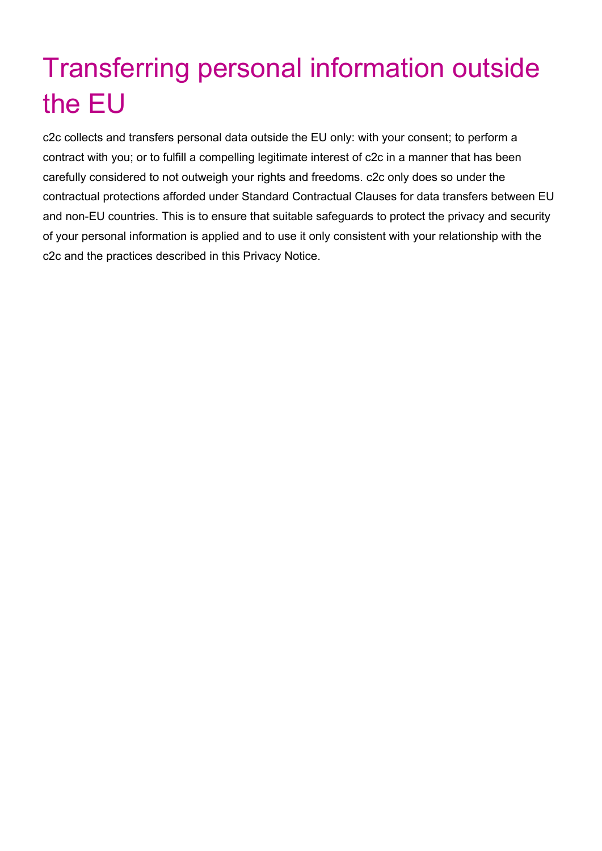# Transferring personal information outside the EU

c2c collects and transfers personal data outside the EU only: with your consent; to perform a contract with you; or to fulfill a compelling legitimate interest of c2c in a manner that has been carefully considered to not outweigh your rights and freedoms. c2c only does so under the contractual protections afforded under Standard Contractual Clauses for data transfers between EU and non-EU countries. This is to ensure that suitable safeguards to protect the privacy and security of your personal information is applied and to use it only consistent with your relationship with the c2c and the practices described in this Privacy Notice.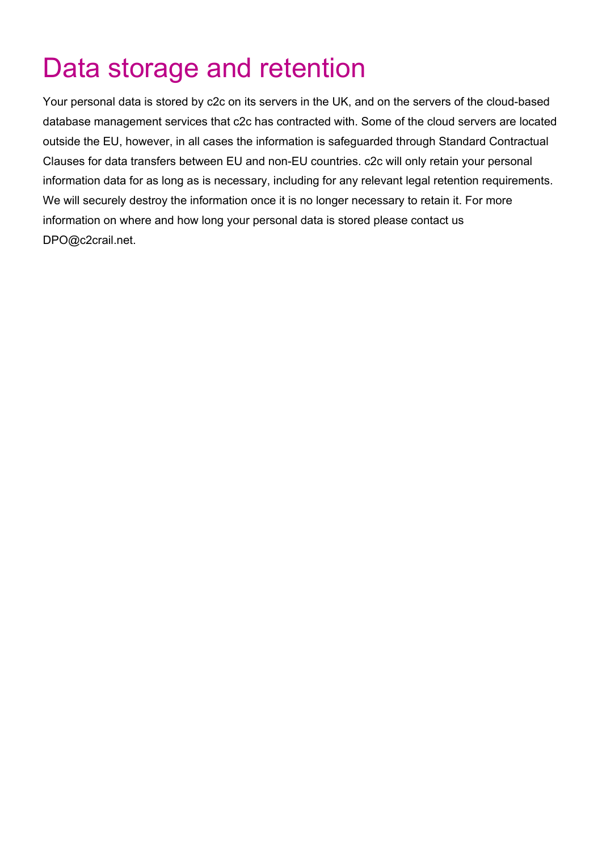# Data storage and retention

Your personal data is stored by c2c on its servers in the UK, and on the servers of the cloud-based database management services that c2c has contracted with. Some of the cloud servers are located outside the EU, however, in all cases the information is safeguarded through Standard Contractual Clauses for data transfers between EU and non-EU countries. c2c will only retain your personal information data for as long as is necessary, including for any relevant legal retention requirements. We will securely destroy the information once it is no longer necessary to retain it. For more information on where and how long your personal data is stored please contact us DPO@c2crail.net.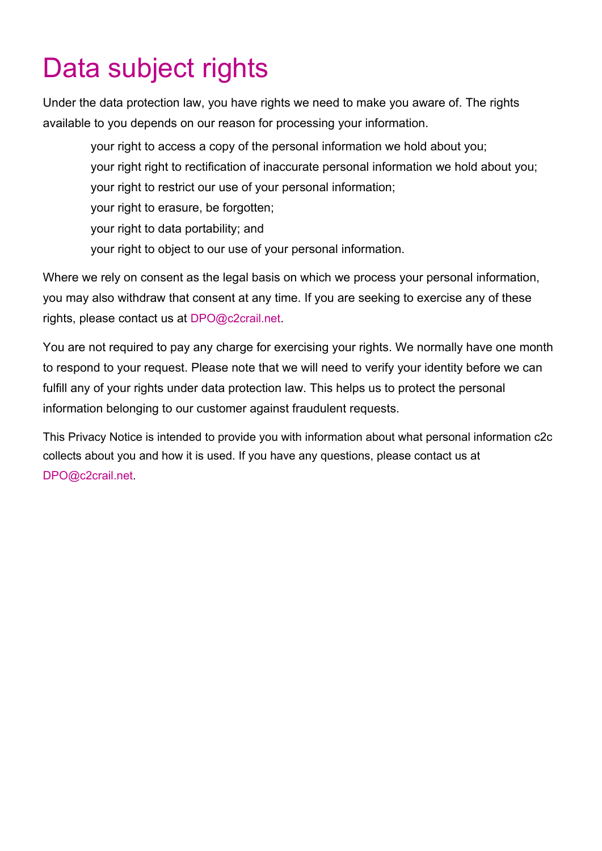# Data subject rights

Under the data protection law, you have rights we need to make you aware of. The rights available to you depends on our reason for processing your information.

your right to access a copy of the personal information we hold about you; your right right to rectification of inaccurate personal information we hold about you; your right to restrict our use of your personal information; your right to erasure, be forgotten; your right to data portability; and your right to object to our use of your personal information.

Where we rely on consent as the legal basis on which we process your personal information, you may also withdraw that consent at any time. If you are seeking to exercise any of these rights, please contact us at DPO@c2crail.net.

You are not required to pay any charge for exercising your rights. We normally have one month to respond to your request. Please note that we will need to verify your identity before we can fulfill any of your rights under data protection law. This helps us to protect the personal information belonging to our customer against fraudulent requests.

This Privacy Notice is intended to provide you with information about what personal information c2c collects about you and how it is used. If you have any questions, please contact us at DPO@c2crail.net.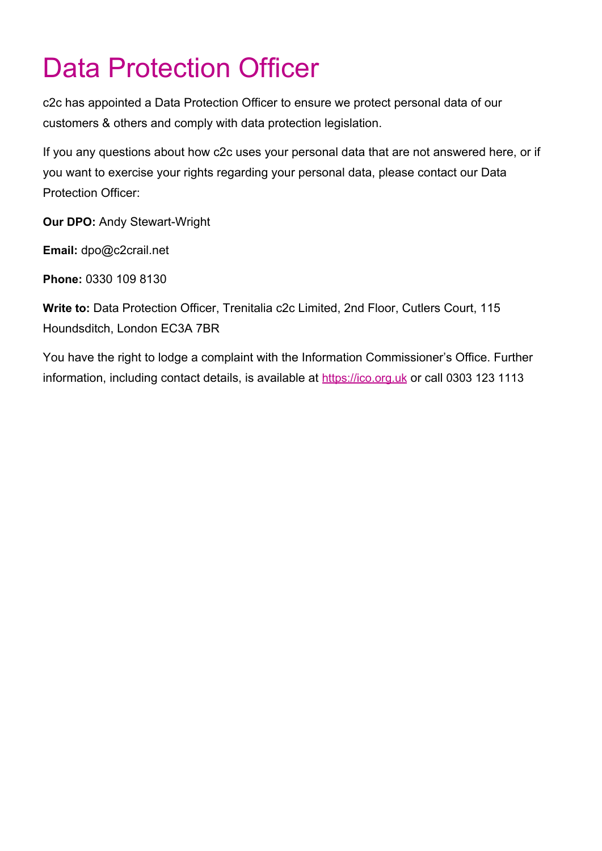# Data Protection Officer

c2c has appointed a Data Protection Officer to ensure we protect personal data of our customers & others and comply with data protection legislation.

If you any questions about how c2c uses your personal data that are not answered here, or if you want to exercise your rights regarding your personal data, please contact our Data Protection Officer:

**Our DPO:** Andy Stewart-Wright

**Email:** dpo@c2crail.net

**Phone:** 0330 109 8130

**Write to:** Data Protection Officer, Trenitalia c2c Limited, 2nd Floor, Cutlers Court, 115 Houndsditch, London EC3A 7BR

You have the right to lodge a complaint with the Information Commissioner's Office. Further information, including contact details, is available at [https://ico.org.uk](https://ico.org.uk/) or call 0303 123 1113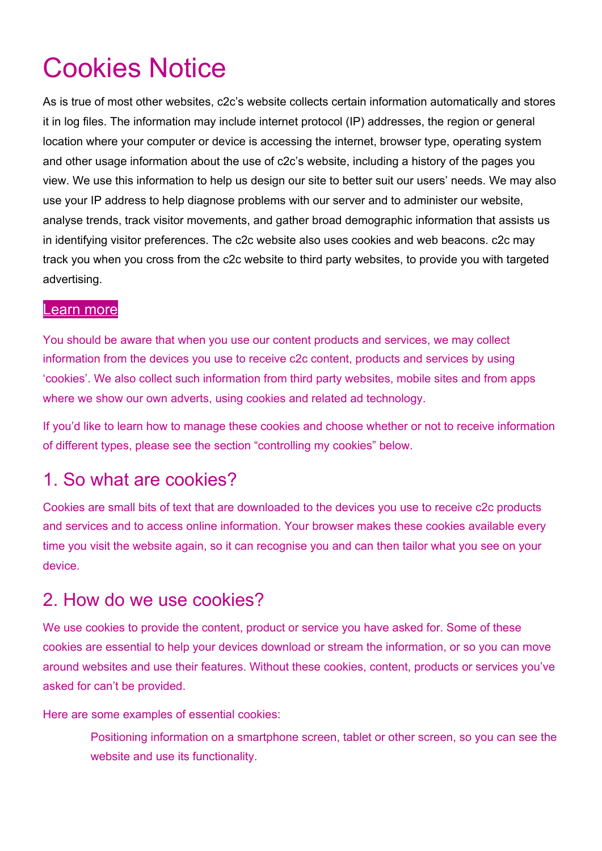# Cookies Notice

As is true of most other websites, c2c's website collects certain information automatically and stores it in log files. The information may include internet protocol (IP) addresses, the region or general location where your computer or device is accessing the internet, browser type, operating system and other usage information about the use of c2c's website, including a history of the pages you view. We use this information to help us design our site to better suit our users' needs. We may also use your IP address to help diagnose problems with our server and to administer our website, analyse trends, track visitor movements, and gather broad demographic information that assists us in identifying visitor preferences. The c2c website also uses cookies and web beacons. c2c may track you when you cross from the c2c website to third party websites, to provide you with targeted advertising.

#### [Learn](https://www.c2c-online.co.uk/privacy-and-cookies-notice/#more) more

You should be aware that when you use our content products and services, we may collect information from the devices you use to receive c2c content, products and services by using 'cookies'. We also collect such information from third party websites, mobile sites and from apps where we show our own adverts, using cookies and related ad technology.

If you'd like to learn how to manage these cookies and choose whether or not to receive information of different types, please see the section "controlling my cookies" below.

#### 1. So what are cookies?

Cookies are small bits of text that are downloaded to the devices you use to receive c2c products and services and to access online information. Your browser makes these cookies available every time you visit the website again, so it can recognise you and can then tailor what you see on your device.

#### 2. How do we use cookies?

We use cookies to provide the content, product or service you have asked for. Some of these cookies are essential to help your devices download or stream the information, or so you can move around websites and use their features. Without these cookies, content, products or services you've asked for can't be provided.

Here are some examples of essential cookies:

Positioning information on a smartphone screen, tablet or other screen, so you can see the website and use its functionality.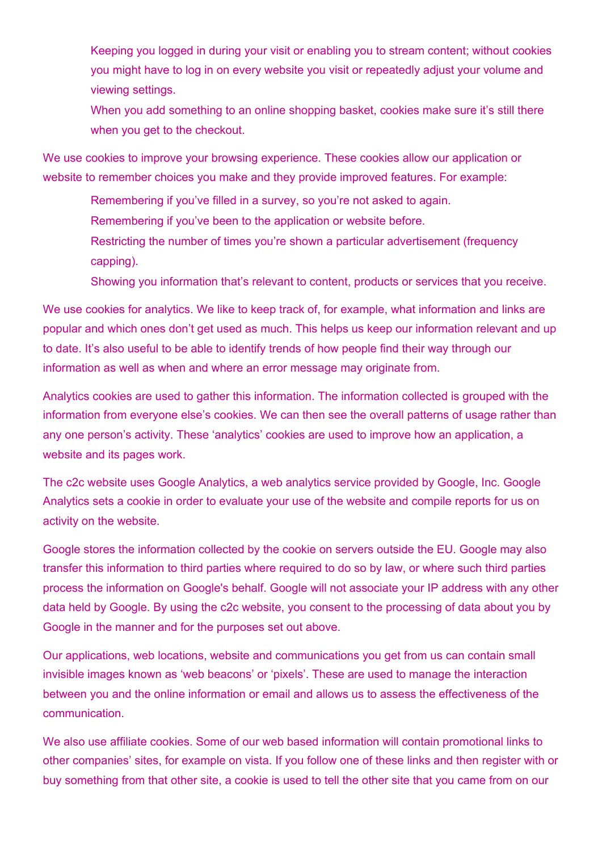Keeping you logged in during your visit or enabling you to stream content; without cookies you might have to log in on every website you visit or repeatedly adjust your volume and viewing settings.

When you add something to an online shopping basket, cookies make sure it's still there when you get to the checkout.

We use cookies to improve your browsing experience. These cookies allow our application or website to remember choices you make and they provide improved features. For example:

Remembering if you've filled in a survey, so you're not asked to again.

Remembering if you've been to the application or website before.

Restricting the number of times you're shown a particular advertisement (frequency capping).

Showing you information that's relevant to content, products or services that you receive.

We use cookies for analytics. We like to keep track of, for example, what information and links are popular and which ones don't get used as much. This helps us keep our information relevant and up to date. It's also useful to be able to identify trends of how people find their way through our information as well as when and where an error message may originate from.

Analytics cookies are used to gather this information. The information collected is grouped with the information from everyone else's cookies. We can then see the overall patterns of usage rather than any one person's activity. These 'analytics' cookies are used to improve how an application, a website and its pages work.

The c2c website uses Google Analytics, a web analytics service provided by Google, Inc. Google Analytics sets a cookie in order to evaluate your use of the website and compile reports for us on activity on the website.

Google stores the information collected by the cookie on servers outside the EU. Google may also transfer this information to third parties where required to do so by law, or where such third parties process the information on Google's behalf. Google will not associate your IP address with any other data held by Google. By using the c2c website, you consent to the processing of data about you by Google in the manner and for the purposes set out above.

Our applications, web locations, website and communications you get from us can contain small invisible images known as 'web beacons' or 'pixels'. These are used to manage the interaction between you and the online information or email and allows us to assess the effectiveness of the communication.

We also use affiliate cookies. Some of our web based information will contain promotional links to other companies' sites, for example on vista. If you follow one of these links and then register with or buy something from that other site, a cookie is used to tell the other site that you came from on our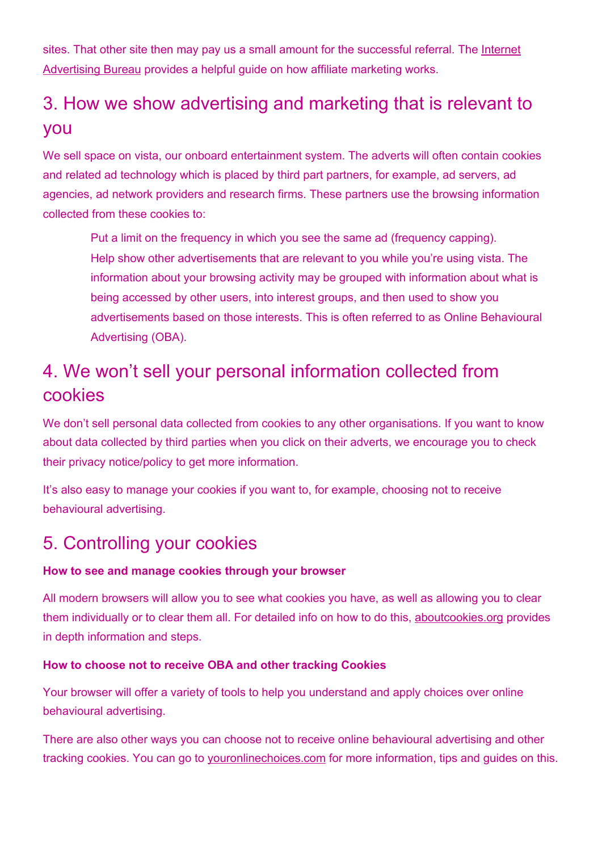sites. That other site then may pay us a small amount for the successful referral. The [Internet](http://www.iab-performance-marketing-explained.net/) [Advertising](http://www.iab-performance-marketing-explained.net/) Bureau provides a helpful guide on how affiliate marketing works.

### 3. How we show advertising and marketing that is relevant to you

We sell space on vista, our onboard entertainment system. The adverts will often contain cookies and related ad technology which is placed by third part partners, for example, ad servers, ad agencies, ad network providers and research firms. These partners use the browsing information collected from these cookies to:

Put a limit on the frequency in which you see the same ad (frequency capping). Help show other advertisements that are relevant to you while you're using vista. The information about your browsing activity may be grouped with information about what is being accessed by other users, into interest groups, and then used to show you advertisements based on those interests. This is often referred to as Online Behavioural Advertising (OBA).

### 4. We won't sell your personal information collected from cookies

We don't sell personal data collected from cookies to any other organisations. If you want to know about data collected by third parties when you click on their adverts, we encourage you to check their privacy notice/policy to get more information.

It's also easy to manage your cookies if you want to, for example, choosing not to receive behavioural advertising.

#### 5. Controlling your cookies

#### **How to see and manage cookies through your browser**

All modern browsers will allow you to see what cookies you have, as well as allowing you to clear them individually or to clear them all. For detailed info on how to do this, [aboutcookies.org](https://www.aboutcookies.org/) provides in depth information and steps.

#### **How to choose not to receive OBA and other tracking Cookies**

Your browser will offer a variety of tools to help you understand and apply choices over online behavioural advertising.

There are also other ways you can choose not to receive online behavioural advertising and other tracking cookies. You can go to [youronlinechoices.com](http://www.youronlinechoices.com/uk/your-ad-choices) for more information, tips and guides on this.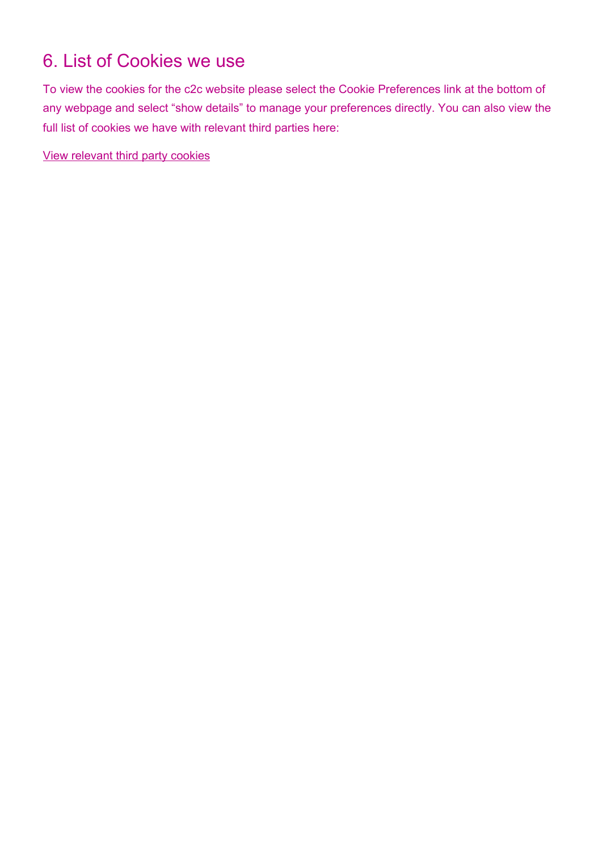### 6. List of Cookies we use

To view the cookies for the c2c website please select the Cookie Preferences link at the bottom of any webpage and select "show details" to manage your preferences directly. You can also view the full list of cookies we have with relevant third parties here:

View [relevant](https://www.c2c-online.co.uk/media/17519304/c2c_cookies_with_third_parties.pdf) third party cookies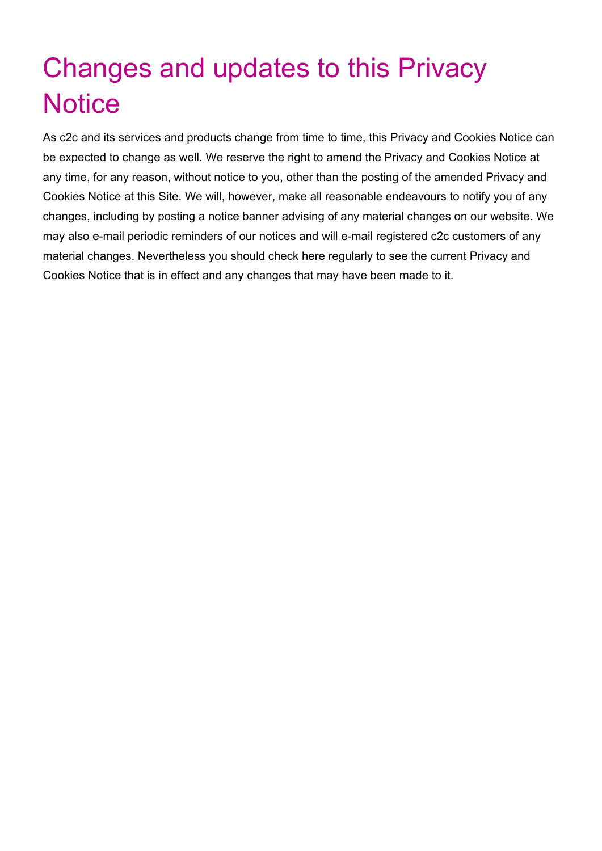# Changes and updates to this Privacy **Notice**

As c2c and its services and products change from time to time, this Privacy and Cookies Notice can be expected to change as well. We reserve the right to amend the Privacy and Cookies Notice at any time, for any reason, without notice to you, other than the posting of the amended Privacy and Cookies Notice at this Site. We will, however, make all reasonable endeavours to notify you of any changes, including by posting a notice banner advising of any material changes on our website. We may also e-mail periodic reminders of our notices and will e-mail registered c2c customers of any material changes. Nevertheless you should check here regularly to see the current Privacy and Cookies Notice that is in effect and any changes that may have been made to it.